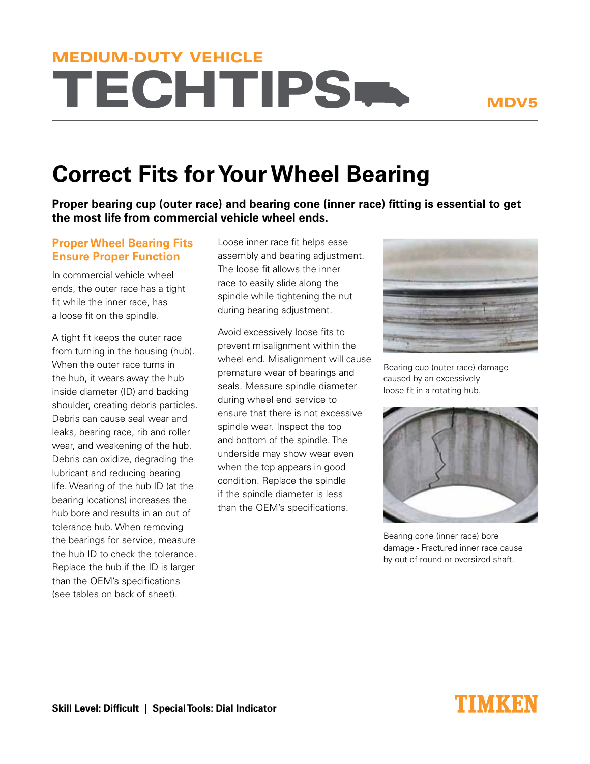# **TECHTIPS<sup>W</sup>** MEDIUM-DUTY VEHICLE

### MDV5

## **Correct Fits for Your Wheel Bearing**

**Proper bearing cup (outer race) and bearing cone (inner race) fitting is essential to get the most life from commercial vehicle wheel ends.**

### **Proper Wheel Bearing Fits Ensure Proper Function**

In commercial vehicle wheel ends, the outer race has a tight fit while the inner race, has a loose fit on the spindle.

A tight fit keeps the outer race from turning in the housing (hub). When the outer race turns in the hub, it wears away the hub inside diameter (ID) and backing shoulder, creating debris particles. Debris can cause seal wear and leaks, bearing race, rib and roller wear, and weakening of the hub. Debris can oxidize, degrading the lubricant and reducing bearing life. Wearing of the hub ID (at the bearing locations) increases the hub bore and results in an out of tolerance hub. When removing the bearings for service, measure the hub ID to check the tolerance. Replace the hub if the ID is larger than the OEM's specifications (see tables on back of sheet).

Loose inner race fit helps ease assembly and bearing adjustment. The loose fit allows the inner race to easily slide along the spindle while tightening the nut during bearing adjustment.

Avoid excessively loose fits to prevent misalignment within the wheel end. Misalignment will cause premature wear of bearings and seals. Measure spindle diameter during wheel end service to ensure that there is not excessive spindle wear. Inspect the top and bottom of the spindle. The underside may show wear even when the top appears in good condition. Replace the spindle if the spindle diameter is less than the OEM's specifications.



Bearing cup (outer race) damage caused by an excessively loose fit in a rotating hub.



Bearing cone (inner race) bore damage - Fractured inner race cause by out-of-round or oversized shaft.